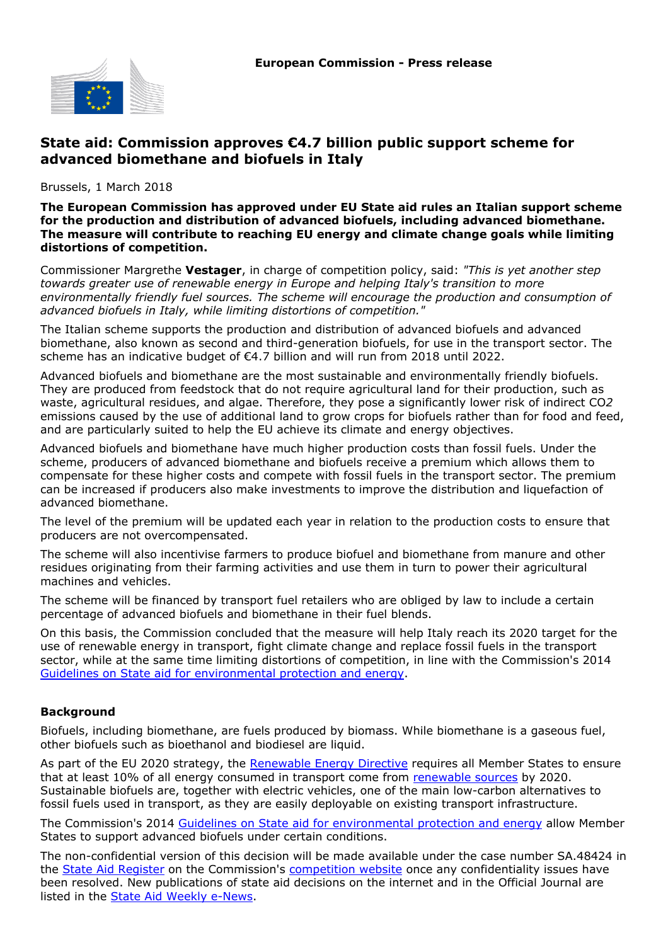

## **State aid: Commission approves €4.7 billion public support scheme for advanced biomethane and biofuels in Italy**

Brussels, 1 March 2018

**The European Commission has approved under EU State aid rules an Italian support scheme for the production and distribution of advanced biofuels, including advanced biomethane. The measure will contribute to reaching EU energy and climate change goals while limiting distortions of competition.**

Commissioner Margrethe **Vestager**, in charge of competition policy, said: *"This is yet another step towards greater use of renewable energy in Europe and helping Italy's transition to more environmentally friendly fuel sources. The scheme will encourage the production and consumption of advanced biofuels in Italy, while limiting distortions of competition."*

The Italian scheme supports the production and distribution of advanced biofuels and advanced biomethane, also known as second and third-generation biofuels, for use in the transport sector. The scheme has an indicative budget of €4.7 billion and will run from 2018 until 2022.

Advanced biofuels and biomethane are the most sustainable and environmentally friendly biofuels. They are produced from feedstock that do not require agricultural land for their production, such as waste, agricultural residues, and algae. Therefore, they pose a significantly lower risk of indirect CO*2* emissions caused by the use of additional land to grow crops for biofuels rather than for food and feed, and are particularly suited to help the EU achieve its climate and energy objectives.

Advanced biofuels and biomethane have much higher production costs than fossil fuels. Under the scheme, producers of advanced biomethane and biofuels receive a premium which allows them to compensate for these higher costs and compete with fossil fuels in the transport sector. The premium can be increased if producers also make investments to improve the distribution and liquefaction of advanced biomethane.

The level of the premium will be updated each year in relation to the production costs to ensure that producers are not overcompensated.

The scheme will also incentivise farmers to produce biofuel and biomethane from manure and other residues originating from their farming activities and use them in turn to power their agricultural machines and vehicles.

The scheme will be financed by transport fuel retailers who are obliged by law to include a certain percentage of advanced biofuels and biomethane in their fuel blends.

On this basis, the Commission concluded that the measure will help Italy reach its 2020 target for the use of renewable energy in transport, fight climate change and replace fossil fuels in the transport sector, while at the same time limiting distortions of competition, in line with the Commission's 2014 [Guidelines on State aid for environmental protection and energy.](http://europa.eu/rapid/press-release_IP-14-400_en.htm)

## **Background**

Biofuels, including biomethane, are fuels produced by biomass. While biomethane is a gaseous fuel, other biofuels such as bioethanol and biodiesel are liquid.

As part of the EU 2020 strategy, the [Renewable Energy Directive](http://eur-lex.europa.eu/legal-content/EN/ALL/?uri=CELEX%3A32009L0028) requires all Member States to ensure that at least 10% of all energy consumed in transport come from [renewable sources](https://ec.europa.eu/energy/en/topics/renewable-energy) by 2020. Sustainable biofuels are, together with electric vehicles, one of the main low-carbon alternatives to fossil fuels used in transport, as they are easily deployable on existing transport infrastructure.

The Commission's 2014 [Guidelines on State aid for environmental protection and energy](http://europa.eu/rapid/press-release_IP-14-400_en.htm) allow Member States to support advanced biofuels under certain conditions.

The non-confidential version of this decision will be made available under the case number SA.48424 in the [State Aid Register](http://ec.europa.eu/competition/state_aid/register/) on the Commission's [competition website](http://ec.europa.eu/competition/index_en.html) once any confidentiality issues have been resolved. New publications of state aid decisions on the internet and in the Official Journal are listed in the [State Aid Weekly e-News](http://ec.europa.eu/competition/state_aid/newsletter/index.html).